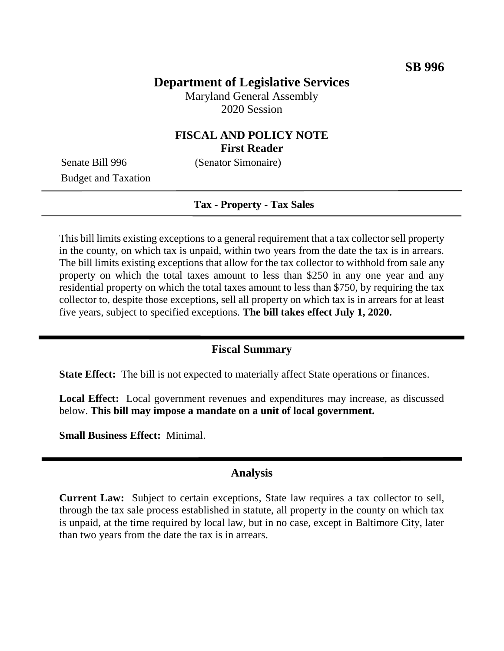# **Department of Legislative Services**

Maryland General Assembly 2020 Session

# **FISCAL AND POLICY NOTE First Reader**

Budget and Taxation

Senate Bill 996 (Senator Simonaire)

#### **Tax - Property - Tax Sales**

This bill limits existing exceptions to a general requirement that a tax collector sell property in the county, on which tax is unpaid, within two years from the date the tax is in arrears. The bill limits existing exceptions that allow for the tax collector to withhold from sale any property on which the total taxes amount to less than \$250 in any one year and any residential property on which the total taxes amount to less than \$750, by requiring the tax collector to, despite those exceptions, sell all property on which tax is in arrears for at least five years, subject to specified exceptions. **The bill takes effect July 1, 2020.**

### **Fiscal Summary**

**State Effect:** The bill is not expected to materially affect State operations or finances.

**Local Effect:** Local government revenues and expenditures may increase, as discussed below. **This bill may impose a mandate on a unit of local government.**

**Small Business Effect:** Minimal.

### **Analysis**

**Current Law:** Subject to certain exceptions, State law requires a tax collector to sell, through the tax sale process established in statute, all property in the county on which tax is unpaid, at the time required by local law, but in no case, except in Baltimore City, later than two years from the date the tax is in arrears.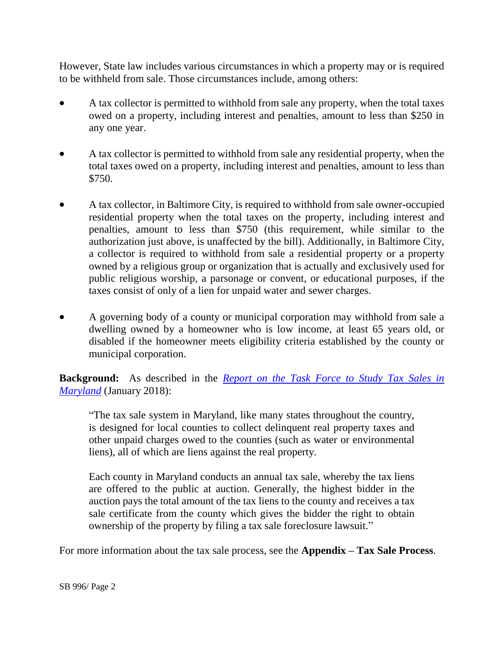However, State law includes various circumstances in which a property may or is required to be withheld from sale. Those circumstances include, among others:

- A tax collector is permitted to withhold from sale any property, when the total taxes owed on a property, including interest and penalties, amount to less than \$250 in any one year.
- A tax collector is permitted to withhold from sale any residential property, when the total taxes owed on a property, including interest and penalties, amount to less than \$750.
- A tax collector, in Baltimore City, is required to withhold from sale owner-occupied residential property when the total taxes on the property, including interest and penalties, amount to less than \$750 (this requirement, while similar to the authorization just above, is unaffected by the bill). Additionally, in Baltimore City, a collector is required to withhold from sale a residential property or a property owned by a religious group or organization that is actually and exclusively used for public religious worship, a parsonage or convent, or educational purposes, if the taxes consist of only of a lien for unpaid water and sewer charges.
- A governing body of a county or municipal corporation may withhold from sale a dwelling owned by a homeowner who is low income, at least 65 years old, or disabled if the homeowner meets eligibility criteria established by the county or municipal corporation.

**Background:** As described in the *[Report on the Task Force to Study Tax Sales in](http://dlslibrary.state.md.us/publications/Exec/DHCD/SB823Ch616HB659Ch615_2017(1-17).pdf)  [Maryland](http://dlslibrary.state.md.us/publications/Exec/DHCD/SB823Ch616HB659Ch615_2017(1-17).pdf)* (January 2018):

"The tax sale system in Maryland, like many states throughout the country, is designed for local counties to collect delinquent real property taxes and other unpaid charges owed to the counties (such as water or environmental liens), all of which are liens against the real property.

Each county in Maryland conducts an annual tax sale, whereby the tax liens are offered to the public at auction. Generally, the highest bidder in the auction pays the total amount of the tax liens to the county and receives a tax sale certificate from the county which gives the bidder the right to obtain ownership of the property by filing a tax sale foreclosure lawsuit."

For more information about the tax sale process, see the **Appendix – Tax Sale Process**.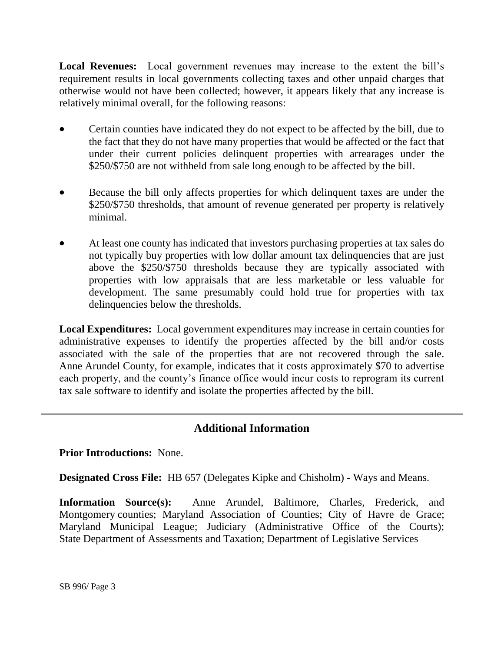**Local Revenues:** Local government revenues may increase to the extent the bill's requirement results in local governments collecting taxes and other unpaid charges that otherwise would not have been collected; however, it appears likely that any increase is relatively minimal overall, for the following reasons:

- Certain counties have indicated they do not expect to be affected by the bill, due to the fact that they do not have many properties that would be affected or the fact that under their current policies delinquent properties with arrearages under the \$250/\$750 are not withheld from sale long enough to be affected by the bill.
- Because the bill only affects properties for which delinquent taxes are under the \$250/\$750 thresholds, that amount of revenue generated per property is relatively minimal.
- At least one county has indicated that investors purchasing properties at tax sales do not typically buy properties with low dollar amount tax delinquencies that are just above the \$250/\$750 thresholds because they are typically associated with properties with low appraisals that are less marketable or less valuable for development. The same presumably could hold true for properties with tax delinquencies below the thresholds.

**Local Expenditures:** Local government expenditures may increase in certain counties for administrative expenses to identify the properties affected by the bill and/or costs associated with the sale of the properties that are not recovered through the sale. Anne Arundel County, for example, indicates that it costs approximately \$70 to advertise each property, and the county's finance office would incur costs to reprogram its current tax sale software to identify and isolate the properties affected by the bill.

# **Additional Information**

**Prior Introductions:** None.

**Designated Cross File:** HB 657 (Delegates Kipke and Chisholm) - Ways and Means.

**Information Source(s):** Anne Arundel, Baltimore, Charles, Frederick, and Montgomery counties; Maryland Association of Counties; City of Havre de Grace; Maryland Municipal League; Judiciary (Administrative Office of the Courts); State Department of Assessments and Taxation; Department of Legislative Services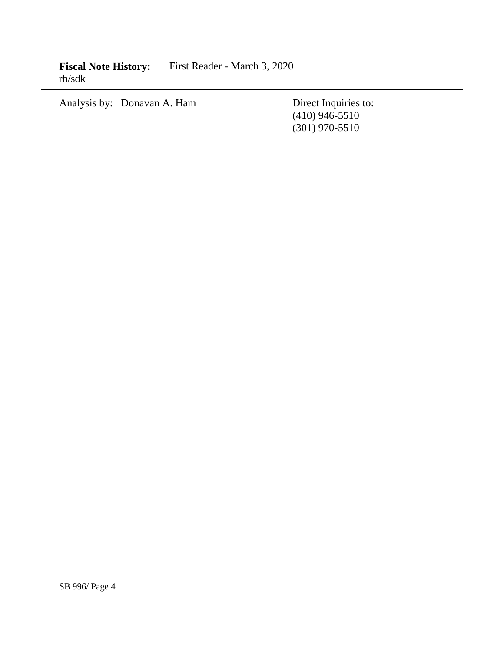**Fiscal Note History:** First Reader - March 3, 2020 rh/sdk

Analysis by: Donavan A. Ham Direct Inquiries to:

(410) 946-5510 (301) 970-5510